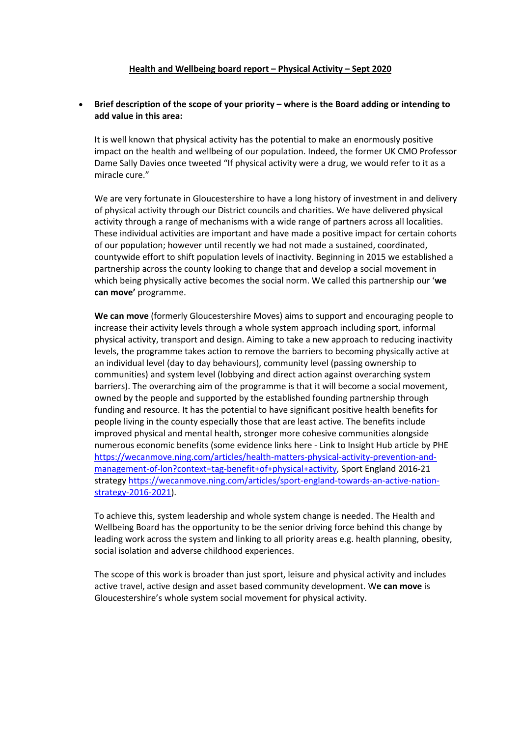## **Health and Wellbeing board report – Physical Activity – Sept 2020**

# **Brief description of the scope of your priority – where is the Board adding or intending to add value in this area:**

It is well known that physical activity has the potential to make an enormously positive impact on the health and wellbeing of our population. Indeed, the former UK CMO Professor Dame Sally Davies once tweeted "If physical activity were a drug, we would refer to it as a miracle cure."

We are very fortunate in Gloucestershire to have a long history of investment in and delivery of physical activity through our District councils and charities. We have delivered physical activity through a range of mechanisms with a wide range of partners across all localities. These individual activities are important and have made a positive impact for certain cohorts of our population; however until recently we had not made a sustained, coordinated, countywide effort to shift population levels of inactivity. Beginning in 2015 we established a partnership across the county looking to change that and develop a social movement in which being physically active becomes the social norm. We called this partnership our '**we can move'** programme.

**We can move** (formerly Gloucestershire Moves) aims to support and encouraging people to increase their activity levels through a whole system approach including sport, informal physical activity, transport and design. Aiming to take a new approach to reducing inactivity levels, the programme takes action to remove the barriers to becoming physically active at an individual level (day to day behaviours), community level (passing ownership to communities) and system level (lobbying and direct action against overarching system barriers). The overarching aim of the programme is that it will become a social movement, owned by the people and supported by the established founding partnership through funding and resource. It has the potential to have significant positive health benefits for people living in the county especially those that are least active. The benefits include improved physical and mental health, stronger more cohesive communities alongside numerous economic benefits (some evidence links here - Link to Insight Hub article by PHE [https://wecanmove.ning.com/articles/health-matters-physical-activity-prevention-and](https://wecanmove.ning.com/articles/health-matters-physical-activity-prevention-and-management-of-lon?context=tag-benefit+of+physical+activity)[management-of-lon?context=tag-benefit+of+physical+activity,](https://wecanmove.ning.com/articles/health-matters-physical-activity-prevention-and-management-of-lon?context=tag-benefit+of+physical+activity) Sport England 2016-21 strategy [https://wecanmove.ning.com/articles/sport-england-towards-an-active-nation](https://wecanmove.ning.com/articles/sport-england-towards-an-active-nation-strategy-2016-2021)[strategy-2016-2021\)](https://wecanmove.ning.com/articles/sport-england-towards-an-active-nation-strategy-2016-2021).

To achieve this, system leadership and whole system change is needed. The Health and Wellbeing Board has the opportunity to be the senior driving force behind this change by leading work across the system and linking to all priority areas e.g. health planning, obesity, social isolation and adverse childhood experiences.

The scope of this work is broader than just sport, leisure and physical activity and includes active travel, active design and asset based community development. W**e can move** is Gloucestershire's whole system social movement for physical activity.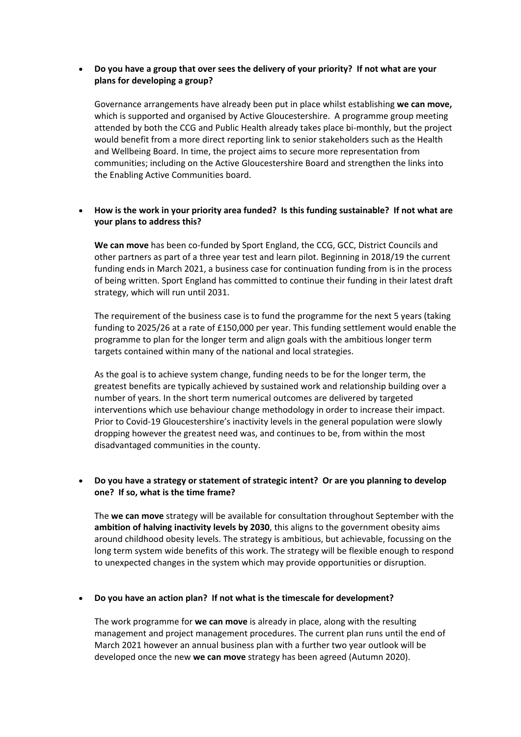# **Do you have a group that over sees the delivery of your priority? If not what are your plans for developing a group?**

Governance arrangements have already been put in place whilst establishing **we can move,** which is supported and organised by Active Gloucestershire. A programme group meeting attended by both the CCG and Public Health already takes place bi-monthly, but the project would benefit from a more direct reporting link to senior stakeholders such as the Health and Wellbeing Board. In time, the project aims to secure more representation from communities; including on the Active Gloucestershire Board and strengthen the links into the Enabling Active Communities board.

# **How is the work in your priority area funded? Is this funding sustainable? If not what are your plans to address this?**

**We can move** has been co-funded by Sport England, the CCG, GCC, District Councils and other partners as part of a three year test and learn pilot. Beginning in 2018/19 the current funding ends in March 2021, a business case for continuation funding from is in the process of being written. Sport England has committed to continue their funding in their latest draft strategy, which will run until 2031.

The requirement of the business case is to fund the programme for the next 5 years (taking funding to 2025/26 at a rate of £150,000 per year. This funding settlement would enable the programme to plan for the longer term and align goals with the ambitious longer term targets contained within many of the national and local strategies.

As the goal is to achieve system change, funding needs to be for the longer term, the greatest benefits are typically achieved by sustained work and relationship building over a number of years. In the short term numerical outcomes are delivered by targeted interventions which use behaviour change methodology in order to increase their impact. Prior to Covid-19 Gloucestershire's inactivity levels in the general population were slowly dropping however the greatest need was, and continues to be, from within the most disadvantaged communities in the county.

# **Do you have a strategy or statement of strategic intent? Or are you planning to develop one? If so, what is the time frame?**

The **we can move** strategy will be available for consultation throughout September with the **ambition of halving inactivity levels by 2030**, this aligns to the government obesity aims around childhood obesity levels. The strategy is ambitious, but achievable, focussing on the long term system wide benefits of this work. The strategy will be flexible enough to respond to unexpected changes in the system which may provide opportunities or disruption.

## **Do you have an action plan? If not what is the timescale for development?**

The work programme for **we can move** is already in place, along with the resulting management and project management procedures. The current plan runs until the end of March 2021 however an annual business plan with a further two year outlook will be developed once the new **we can move** strategy has been agreed (Autumn 2020).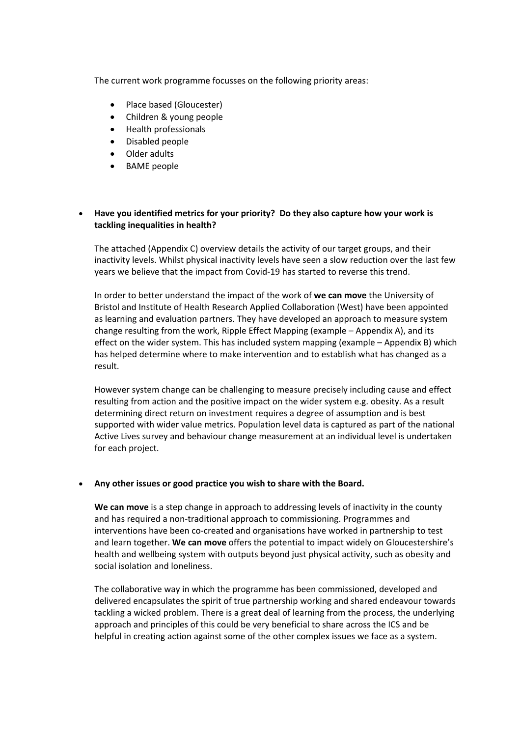The current work programme focusses on the following priority areas:

- Place based (Gloucester)
- Children & young people
- Health professionals
- Disabled people
- Older adults
- BAME people

# **Have you identified metrics for your priority? Do they also capture how your work is tackling inequalities in health?**

The attached (Appendix C) overview details the activity of our target groups, and their inactivity levels. Whilst physical inactivity levels have seen a slow reduction over the last few years we believe that the impact from Covid-19 has started to reverse this trend.

In order to better understand the impact of the work of **we can move** the University of Bristol and Institute of Health Research Applied Collaboration (West) have been appointed as learning and evaluation partners. They have developed an approach to measure system change resulting from the work, Ripple Effect Mapping (example – Appendix A), and its effect on the wider system. This has included system mapping (example – Appendix B) which has helped determine where to make intervention and to establish what has changed as a result.

However system change can be challenging to measure precisely including cause and effect resulting from action and the positive impact on the wider system e.g. obesity. As a result determining direct return on investment requires a degree of assumption and is best supported with wider value metrics. Population level data is captured as part of the national Active Lives survey and behaviour change measurement at an individual level is undertaken for each project.

## **Any other issues or good practice you wish to share with the Board.**

**We can move** is a step change in approach to addressing levels of inactivity in the county and has required a non-traditional approach to commissioning. Programmes and interventions have been co-created and organisations have worked in partnership to test and learn together. **We can move** offers the potential to impact widely on Gloucestershire's health and wellbeing system with outputs beyond just physical activity, such as obesity and social isolation and loneliness.

The collaborative way in which the programme has been commissioned, developed and delivered encapsulates the spirit of true partnership working and shared endeavour towards tackling a wicked problem. There is a great deal of learning from the process, the underlying approach and principles of this could be very beneficial to share across the ICS and be helpful in creating action against some of the other complex issues we face as a system.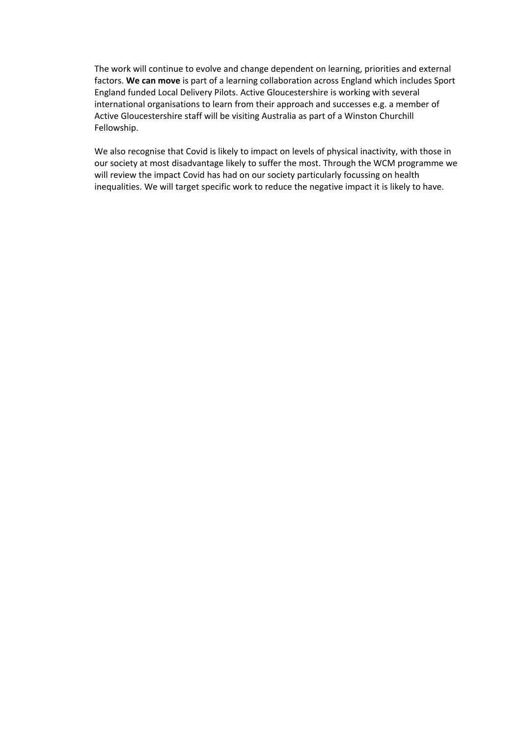The work will continue to evolve and change dependent on learning, priorities and external factors. **We can move** is part of a learning collaboration across England which includes Sport England funded Local Delivery Pilots. Active Gloucestershire is working with several international organisations to learn from their approach and successes e.g. a member of Active Gloucestershire staff will be visiting Australia as part of a Winston Churchill Fellowship.

We also recognise that Covid is likely to impact on levels of physical inactivity, with those in our society at most disadvantage likely to suffer the most. Through the WCM programme we will review the impact Covid has had on our society particularly focussing on health inequalities. We will target specific work to reduce the negative impact it is likely to have.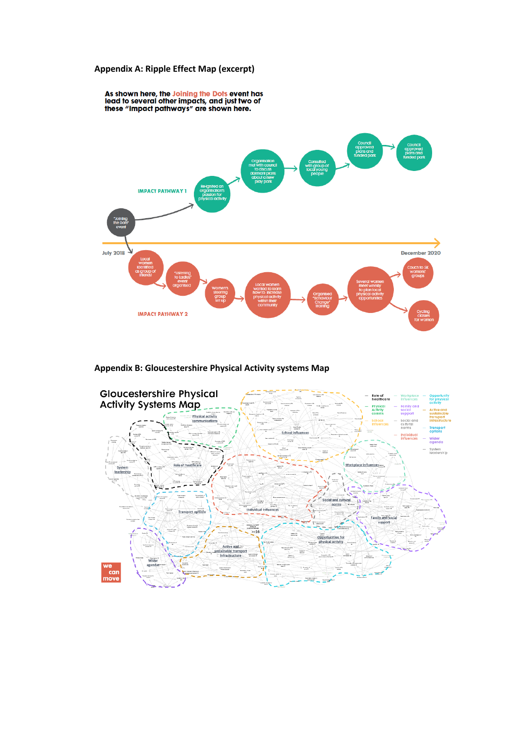#### **Appendix A: Ripple Effect Map (excerpt)**





#### **Appendix B: Gloucestershire Physical Activity systems Map**